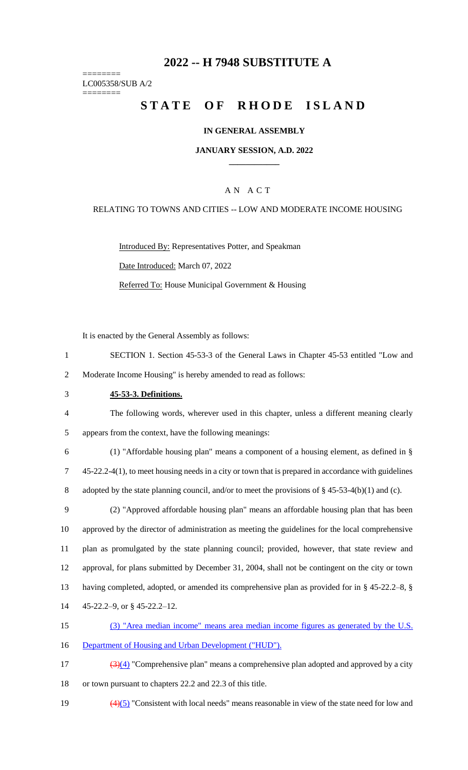# **2022 -- H 7948 SUBSTITUTE A**

======== LC005358/SUB A/2

========

# **STATE OF RHODE ISLAND**

#### **IN GENERAL ASSEMBLY**

#### **JANUARY SESSION, A.D. 2022 \_\_\_\_\_\_\_\_\_\_\_\_**

### A N A C T

#### RELATING TO TOWNS AND CITIES -- LOW AND MODERATE INCOME HOUSING

Introduced By: Representatives Potter, and Speakman Date Introduced: March 07, 2022 Referred To: House Municipal Government & Housing

It is enacted by the General Assembly as follows:

- 1 SECTION 1. Section 45-53-3 of the General Laws in Chapter 45-53 entitled "Low and 2 Moderate Income Housing" is hereby amended to read as follows:
- 3 **45-53-3. Definitions.**
- 4 The following words, wherever used in this chapter, unless a different meaning clearly 5 appears from the context, have the following meanings:
- 6 (1) "Affordable housing plan" means a component of a housing element, as defined in § 7 45-22.2-4(1), to meet housing needs in a city or town that is prepared in accordance with guidelines 8 adopted by the state planning council, and/or to meet the provisions of § 45-53-4(b)(1) and (c).
- 9 (2) "Approved affordable housing plan" means an affordable housing plan that has been 10 approved by the director of administration as meeting the guidelines for the local comprehensive 11 plan as promulgated by the state planning council; provided, however, that state review and 12 approval, for plans submitted by December 31, 2004, shall not be contingent on the city or town 13 having completed, adopted, or amended its comprehensive plan as provided for in § 45-22.2–8, § 14 45-22.2–9, or § 45-22.2–12.
- 15 (3) "Area median income" means area median income figures as generated by the U.S. 16 Department of Housing and Urban Development ("HUD").
- $\frac{(3)(4)}{2}$  "Comprehensive plan" means a comprehensive plan adopted and approved by a city 18 or town pursuant to chapters 22.2 and 22.3 of this title.
- 19  $\left(4\right)\left(5\right)$  "Consistent with local needs" means reasonable in view of the state need for low and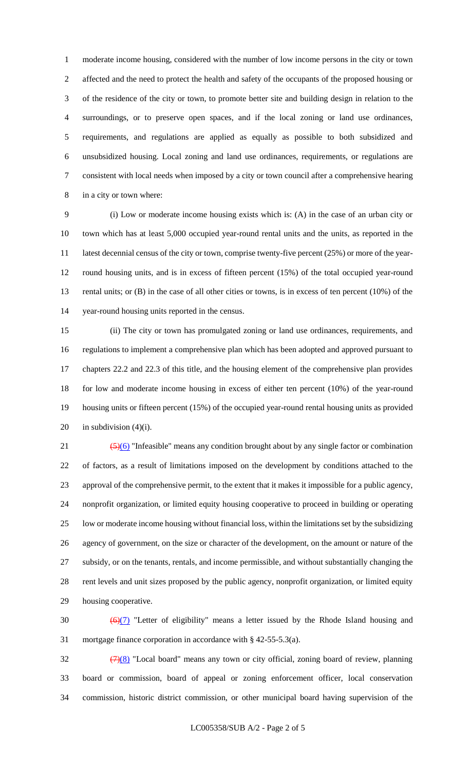moderate income housing, considered with the number of low income persons in the city or town affected and the need to protect the health and safety of the occupants of the proposed housing or of the residence of the city or town, to promote better site and building design in relation to the surroundings, or to preserve open spaces, and if the local zoning or land use ordinances, requirements, and regulations are applied as equally as possible to both subsidized and unsubsidized housing. Local zoning and land use ordinances, requirements, or regulations are consistent with local needs when imposed by a city or town council after a comprehensive hearing in a city or town where:

 (i) Low or moderate income housing exists which is: (A) in the case of an urban city or town which has at least 5,000 occupied year-round rental units and the units, as reported in the 11 latest decennial census of the city or town, comprise twenty-five percent (25%) or more of the year- round housing units, and is in excess of fifteen percent (15%) of the total occupied year-round 13 rental units; or (B) in the case of all other cities or towns, is in excess of ten percent (10%) of the year-round housing units reported in the census.

 (ii) The city or town has promulgated zoning or land use ordinances, requirements, and regulations to implement a comprehensive plan which has been adopted and approved pursuant to chapters 22.2 and 22.3 of this title, and the housing element of the comprehensive plan provides for low and moderate income housing in excess of either ten percent (10%) of the year-round housing units or fifteen percent (15%) of the occupied year-round rental housing units as provided 20 in subdivision  $(4)(i)$ .

 $\left(\frac{5}{6}\right)$  "Infeasible" means any condition brought about by any single factor or combination of factors, as a result of limitations imposed on the development by conditions attached to the approval of the comprehensive permit, to the extent that it makes it impossible for a public agency, nonprofit organization, or limited equity housing cooperative to proceed in building or operating low or moderate income housing without financial loss, within the limitations set by the subsidizing agency of government, on the size or character of the development, on the amount or nature of the subsidy, or on the tenants, rentals, and income permissible, and without substantially changing the rent levels and unit sizes proposed by the public agency, nonprofit organization, or limited equity housing cooperative.

30  $\left(\frac{\Theta}{7}\right)$  "Letter of eligibility" means a letter issued by the Rhode Island housing and mortgage finance corporation in accordance with § 42-55-5.3(a).

 $\frac{(7)(8)}{8}$  "Local board" means any town or city official, zoning board of review, planning board or commission, board of appeal or zoning enforcement officer, local conservation commission, historic district commission, or other municipal board having supervision of the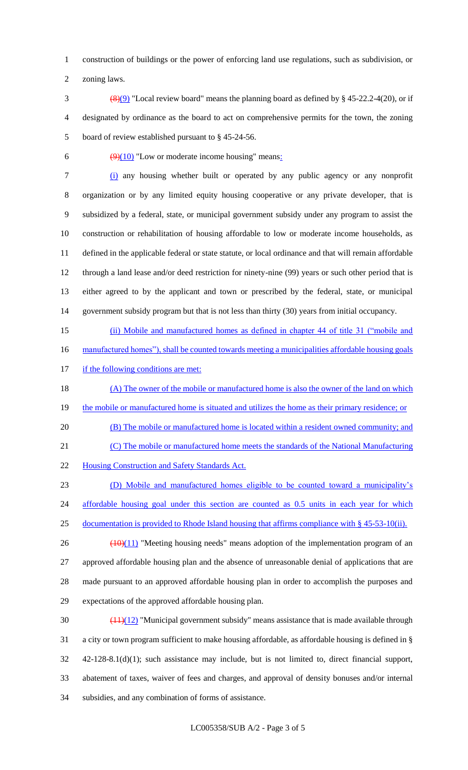construction of buildings or the power of enforcing land use regulations, such as subdivision, or

zoning laws.

- 3 (8)(9) "Local review board" means the planning board as defined by  $\S$  45-22.2-4(20), or if designated by ordinance as the board to act on comprehensive permits for the town, the zoning board of review established pursuant to § 45-24-56.
- 

6  $\left(\frac{9}{10}\right)$  "Low or moderate income housing" means:

 (i) any housing whether built or operated by any public agency or any nonprofit organization or by any limited equity housing cooperative or any private developer, that is subsidized by a federal, state, or municipal government subsidy under any program to assist the construction or rehabilitation of housing affordable to low or moderate income households, as defined in the applicable federal or state statute, or local ordinance and that will remain affordable through a land lease and/or deed restriction for ninety-nine (99) years or such other period that is either agreed to by the applicant and town or prescribed by the federal, state, or municipal government subsidy program but that is not less than thirty (30) years from initial occupancy.

 (ii) Mobile and manufactured homes as defined in chapter 44 of title 31 ("mobile and 16 manufactured homes"), shall be counted towards meeting a municipalities affordable housing goals

17 if the following conditions are met:

- 18 (A) The owner of the mobile or manufactured home is also the owner of the land on which 19 the mobile or manufactured home is situated and utilizes the home as their primary residence; or
- (B) The mobile or manufactured home is located within a resident owned community; and
- (C) The mobile or manufactured home meets the standards of the National Manufacturing

22 Housing Construction and Safety Standards Act.

 (D) Mobile and manufactured homes eligible to be counted toward a municipality's 24 affordable housing goal under this section are counted as 0.5 units in each year for which 25 documentation is provided to Rhode Island housing that affirms compliance with § 45-53-10(ii).

- $26 \left( \frac{(10)(11)}{20} \right)$  "Meeting housing needs" means adoption of the implementation program of an approved affordable housing plan and the absence of unreasonable denial of applications that are made pursuant to an approved affordable housing plan in order to accomplish the purposes and expectations of the approved affordable housing plan.
- 30  $\left(\frac{(11)(12)}{11}\right)$  "Municipal government subsidy" means assistance that is made available through a city or town program sufficient to make housing affordable, as affordable housing is defined in § 42-128-8.1(d)(1); such assistance may include, but is not limited to, direct financial support, abatement of taxes, waiver of fees and charges, and approval of density bonuses and/or internal subsidies, and any combination of forms of assistance.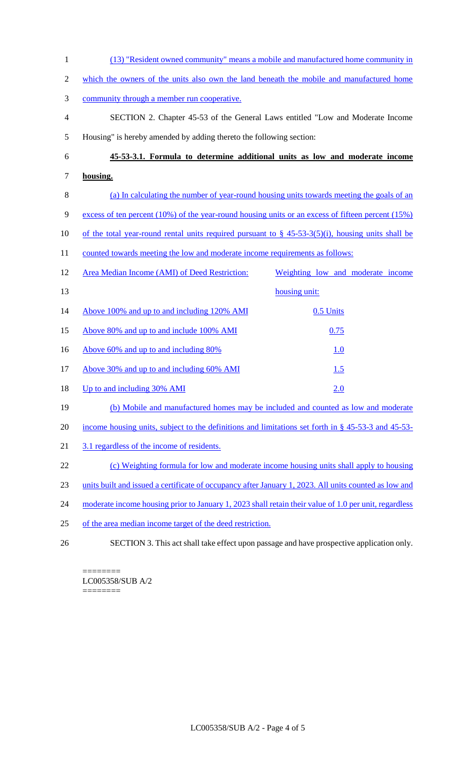(13) "Resident owned community" means a mobile and manufactured home community in which the owners of the units also own the land beneath the mobile and manufactured home community through a member run cooperative. SECTION 2. Chapter 45-53 of the General Laws entitled "Low and Moderate Income Housing" is hereby amended by adding thereto the following section: **45-53-3.1. Formula to determine additional units as low and moderate income housing.**  (a) In calculating the number of year-round housing units towards meeting the goals of an excess of ten percent (10%) of the year-round housing units or an excess of fifteen percent (15%) 10 of the total year-round rental units required pursuant to  $\S$  45-53-3(5)(i), housing units shall be 11 counted towards meeting the low and moderate income requirements as follows: Area Median Income (AMI) of Deed Restriction: Weighting low and moderate income 13 housing unit: 14 Above 100% and up to and including 120% AMI 0.5 Units 15 Above 80% and up to and include 100% AMI 0.75 16 Above 60% and up to and including 80% 1.0 17 Above 30% and up to and including 60% AMI 1.5 18 Up to and including 30% AMI 2.0 (b) Mobile and manufactured homes may be included and counted as low and moderate income housing units, subject to the definitions and limitations set forth in § 45-53-3 and 45-53- 3.1 regardless of the income of residents. (c) Weighting formula for low and moderate income housing units shall apply to housing units built and issued a certificate of occupancy after January 1, 2023. All units counted as low and 24 moderate income housing prior to January 1, 2023 shall retain their value of 1.0 per unit, regardless of the area median income target of the deed restriction. SECTION 3. This act shall take effect upon passage and have prospective application only.

======== LC005358/SUB A/2 ========